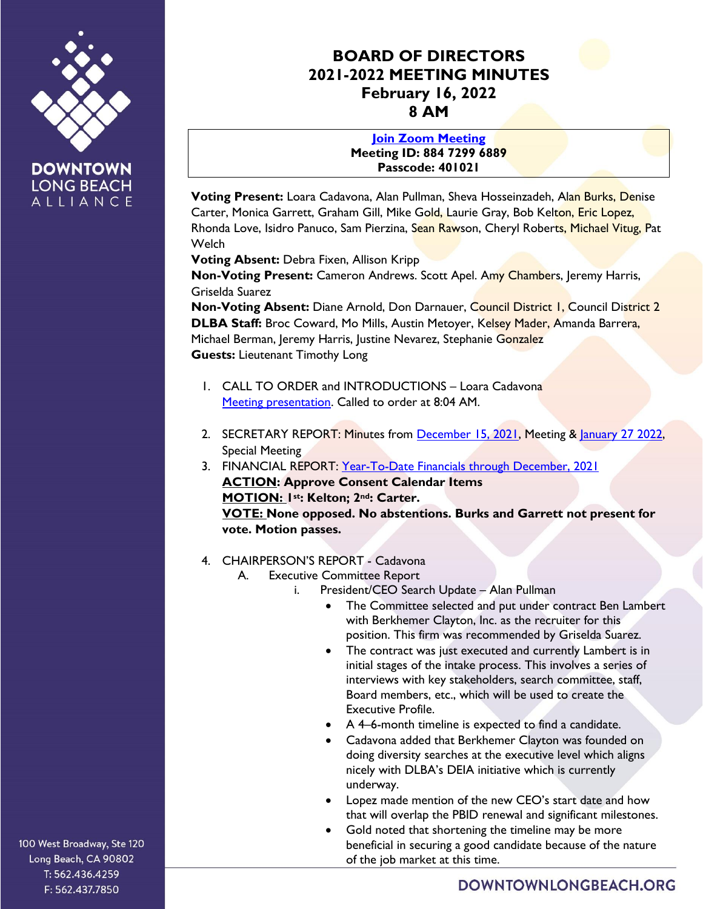



## **BOARD OF DIRECTORS 2021-2022 MEETING MINUTES February 16, 2022 8 AM**

**[Join Zoom Meeting](https://us02web.zoom.us/j/88472996889?pwd=VVkyTHJaeGRmR2JQZC9DZ00rNnZPdz09) Meeting ID: 884 7299 6889 Passcode: 401021**

**Voting Present:** Loara Cadavona, Alan Pullman, Sheva Hosseinzadeh, Alan Burks, Denise Carter, Monica Garrett, Graham Gill, Mike Gold, Laurie Gray, Bob Kelton, Eric Lopez, Rhonda Love, Isidro Panuco, Sam Pierzina, Sean Rawson, Cheryl Roberts, Michael Vitug, Pat **Welch** 

**Voting Absent:** Debra Fixen, Allison Kripp

**Non-Voting Present:** Cameron Andrews. Scott Apel. Amy Chambers, Jeremy Harris, Griselda Suarez

**Non-Voting Absent:** Diane Arnold, Don Darnauer, Council District 1, Council District 2 **DLBA Staff:** Broc Coward, Mo Mills, Austin Metoyer, Kelsey Mader, Amanda Barrera, Michael Berman, Jeremy Harris, Justine Nevarez, Stephanie Gonzalez **Guests:** Lieutenant Timothy Long

- 1. CALL TO ORDER and INTRODUCTIONS Loara Cadavona [Meeting presentation.](https://downtownlongbeach.org/wp-content/uploads/BoD-Presentation-2-16-22-F-BC2.pdf) Called to order at 8:04 AM.
- 2. SECRETARY REPORT: Minutes from [December 15, 2021,](https://downtownlongbeach.org/wp-content/uploads/Board-12-15-21-Meeting-Minutes-F.pdf) Meeting & [January 27 2022,](https://downtownlongbeach.org/wp-content/uploads/Board-1-27-22-Meeting-Minutes-F.pdf) Special Meeting
- 3. FINANCIAL REPORT: Year-To-Date Financials [through December, 2021](https://downtownlongbeach.org/wp-content/uploads/DLBA-Financial-Package-December-2021.pdf) **ACTION: Approve Consent Calendar Items MOTION: 1st: Kelton; 2nd: Carter. VOTE: None opposed. No abstentions. Burks and Garrett not present for vote. Motion passes.**
- 4. CHAIRPERSON'S REPORT Cadavona
	- A. Executive Committee Report
		- President/CEO Search Update Alan Pullman
			- The Committee selected and put under contract Ben Lambert with Berkhemer Clayton, Inc. as the recruiter for this position. This firm was recommended by Griselda Suarez.
			- The contract was just executed and currently Lambert is in initial stages of the intake process. This involves a series of interviews with key stakeholders, search committee, staff, Board members, etc., which will be used to create the Executive Profile.
			- A 4–6-month timeline is expected to find a candidate.
			- Cadavona added that Berkhemer Clayton was founded on doing diversity searches at the executive level which aligns nicely with DLBA's DEIA initiative which is currently underway.
			- Lopez made mention of the new CEO's start date and how that will overlap the PBID renewal and significant milestones.
			- Gold noted that shortening the timeline may be more beneficial in securing a good candidate because of the nature of the job market at this time.

100 West Broadway, Ste 120 Long Beach, CA 90802 T: 562.436.4259 F: 562.437.7850

DOWNTOWNLONGBEACH.ORG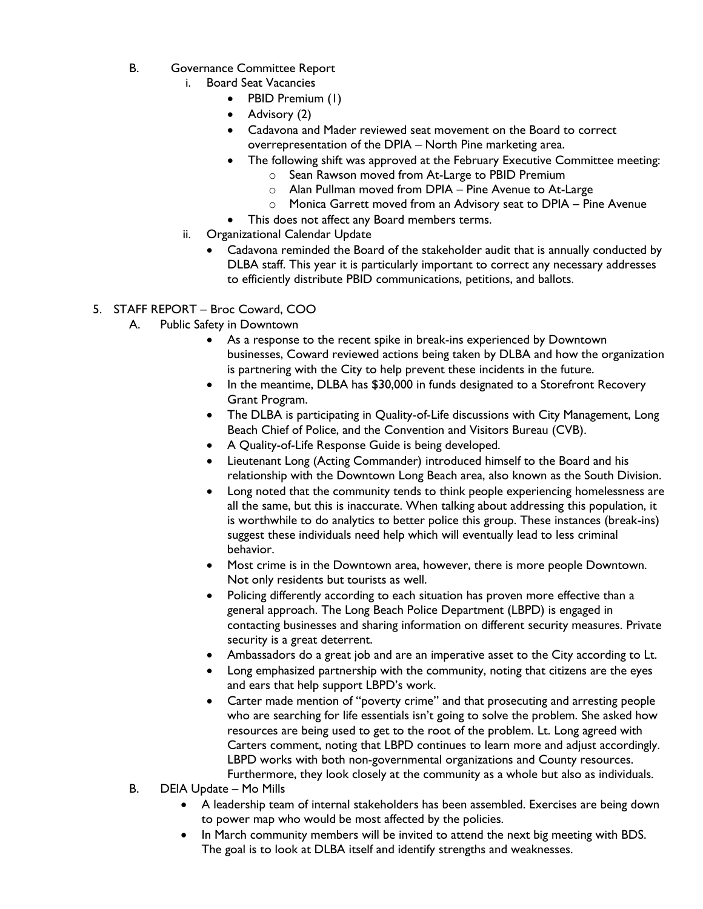- B. Governance Committee Report
	- i. Board Seat Vacancies
		- PBID Premium (1)
		- Advisory (2)
		- Cadavona and Mader reviewed seat movement on the Board to correct overrepresentation of the DPIA – North Pine marketing area.
		- The following shift was approved at the February Executive Committee meeting:
			- o Sean Rawson moved from At-Large to PBID Premium
			- o Alan Pullman moved from DPIA Pine Avenue to At-Large
			- o Monica Garrett moved from an Advisory seat to DPIA Pine Avenue
		- This does not affect any Board members terms.
	- ii. Organizational Calendar Update
		- Cadavona reminded the Board of the stakeholder audit that is annually conducted by DLBA staff. This year it is particularly important to correct any necessary addresses to efficiently distribute PBID communications, petitions, and ballots.
- 5. STAFF REPORT Broc Coward, COO
	- A. Public Safety in Downtown
		- As a response to the recent spike in break-ins experienced by Downtown businesses, Coward reviewed actions being taken by DLBA and how the organization is partnering with the City to help prevent these incidents in the future.
		- In the meantime, DLBA has \$30,000 in funds designated to a Storefront Recovery Grant Program.
		- The DLBA is participating in Quality-of-Life discussions with City Management, Long Beach Chief of Police, and the Convention and Visitors Bureau (CVB).
		- A Quality-of-Life Response Guide is being developed.
		- Lieutenant Long (Acting Commander) introduced himself to the Board and his relationship with the Downtown Long Beach area, also known as the South Division.
		- Long noted that the community tends to think people experiencing homelessness are all the same, but this is inaccurate. When talking about addressing this population, it is worthwhile to do analytics to better police this group. These instances (break-ins) suggest these individuals need help which will eventually lead to less criminal behavior.
		- Most crime is in the Downtown area, however, there is more people Downtown. Not only residents but tourists as well.
		- Policing differently according to each situation has proven more effective than a general approach. The Long Beach Police Department (LBPD) is engaged in contacting businesses and sharing information on different security measures. Private security is a great deterrent.
		- Ambassadors do a great job and are an imperative asset to the City according to Lt.
		- Long emphasized partnership with the community, noting that citizens are the eyes and ears that help support LBPD's work.
		- Carter made mention of "poverty crime" and that prosecuting and arresting people who are searching for life essentials isn't going to solve the problem. She asked how resources are being used to get to the root of the problem. Lt. Long agreed with Carters comment, noting that LBPD continues to learn more and adjust accordingly. LBPD works with both non-governmental organizations and County resources. Furthermore, they look closely at the community as a whole but also as individuals.
	- B. DEIA Update Mo Mills
		- A leadership team of internal stakeholders has been assembled. Exercises are being down to power map who would be most affected by the policies.
		- In March community members will be invited to attend the next big meeting with BDS. The goal is to look at DLBA itself and identify strengths and weaknesses.